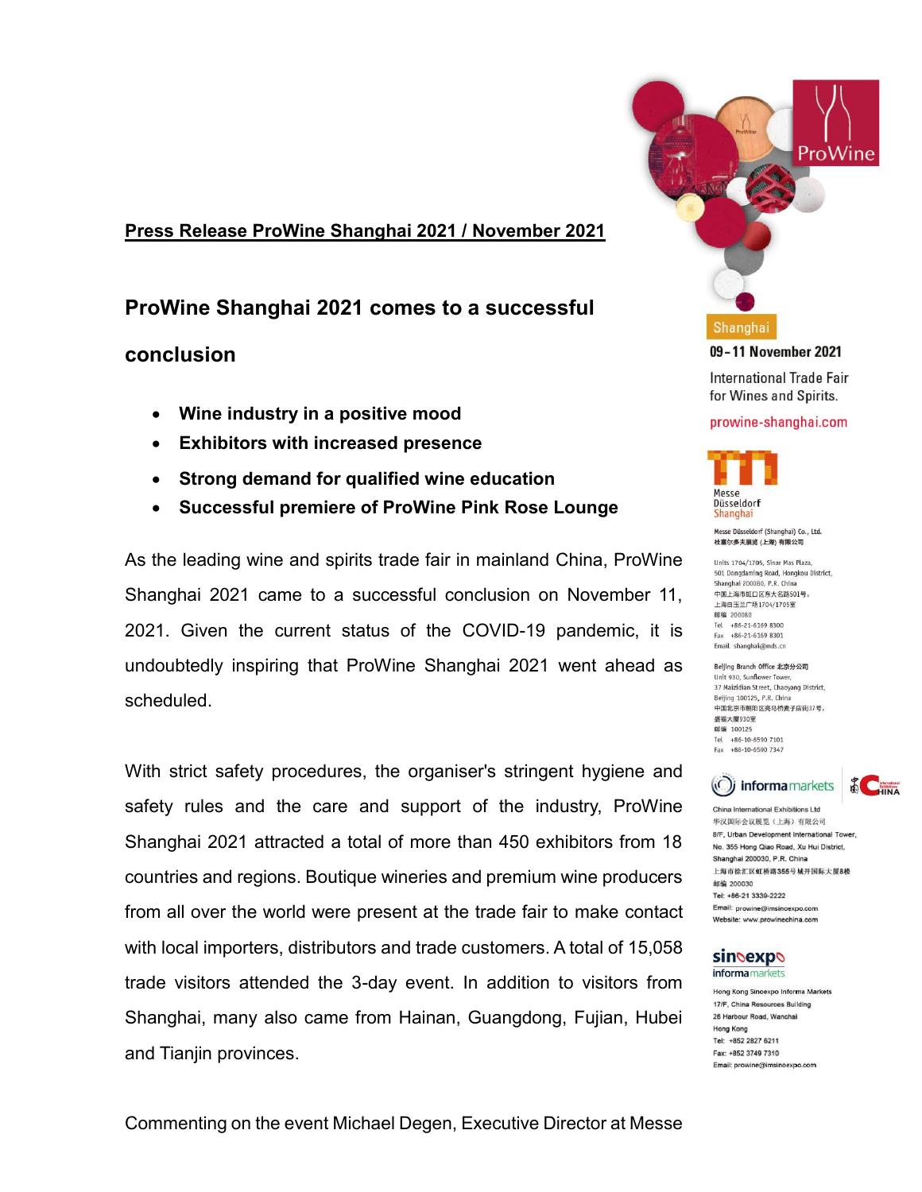# **Press Release ProWine Shanghai 2021 / November 2021**

# **ProWine Shanghai 2021 comes to a successful**

# **conclusion**

- **Wine industry in a positive mood**
- **Exhibitors with increased presence**
- **Strong demand for qualified wine education**
- **Successful premiere of ProWine Pink Rose Lounge**

As the leading wine and spirits trade fair in mainland China, ProWine Shanghai 2021 came to a successful conclusion on November 11, 2021. Given the current status of the COVID-19 pandemic, it is undoubtedly inspiring that ProWine Shanghai 2021 went ahead as scheduled.

With strict safety procedures, the organiser's stringent hygiene and safety rules and the care and support of the industry, ProWine Shanghai 2021 attracted a total of more than 450 exhibitors from 18 countries and regions. Boutique wineries and premium wine producers from all over the world were present at the trade fair to make contact with local importers, distributors and trade customers. A total of 15,058 trade visitors attended the 3-day event. In addition to visitors from Shanghai, many also came from Hainan, Guangdong, Fujian, Hubei and Tianjin provinces.



prowine-shanghai.com

Messe Düsseldorf (Shanghai) Co., Ltd. 杜塞尔多夫展览 (上海) 有限公司 Units 1704/1705 Sinar Mas Plaza 501 Dongdaming Road, Hongkou District, Shanghai 200080, P.R. China 中国上海市町口区东大名路501号。 上海白玉兰广场1704/1705室 邮编 200080 Tel +86-21-6169 8300  $Fax +86-21-61698301$ Email shanghai@mds.cn Beijing Branch Office 北京分公司 Unit 930, Sunflower Tower 37 Maizidian Street, Chaoyang District, Beijing 100125, P.R. China 中国北京市朝阳区亮马桥麦子店街37号,

Messe Düsseldorf Shanghai

盛福大厦930室 邮编 100125

Tel +86-10-6590 7101 Fax +86-10-6590 7347 (O) informamarkets China International Exhibitions I td. 华汉国际会议展览(上海)有限公司 8/F, Urban Development International Tower No. 355 Hong Qiao Road, Xu Hui District, Shanghai 200030, P.R. China 上海市徐汇区虹桥路355号城开国际大厦8楼 邮编 200030 Tel: +86-21 3339-2222 Email: prowine@imsinoexpo.com

**CHINA** 

### **sindexpo** informa markets

Website: www.prowinechina.com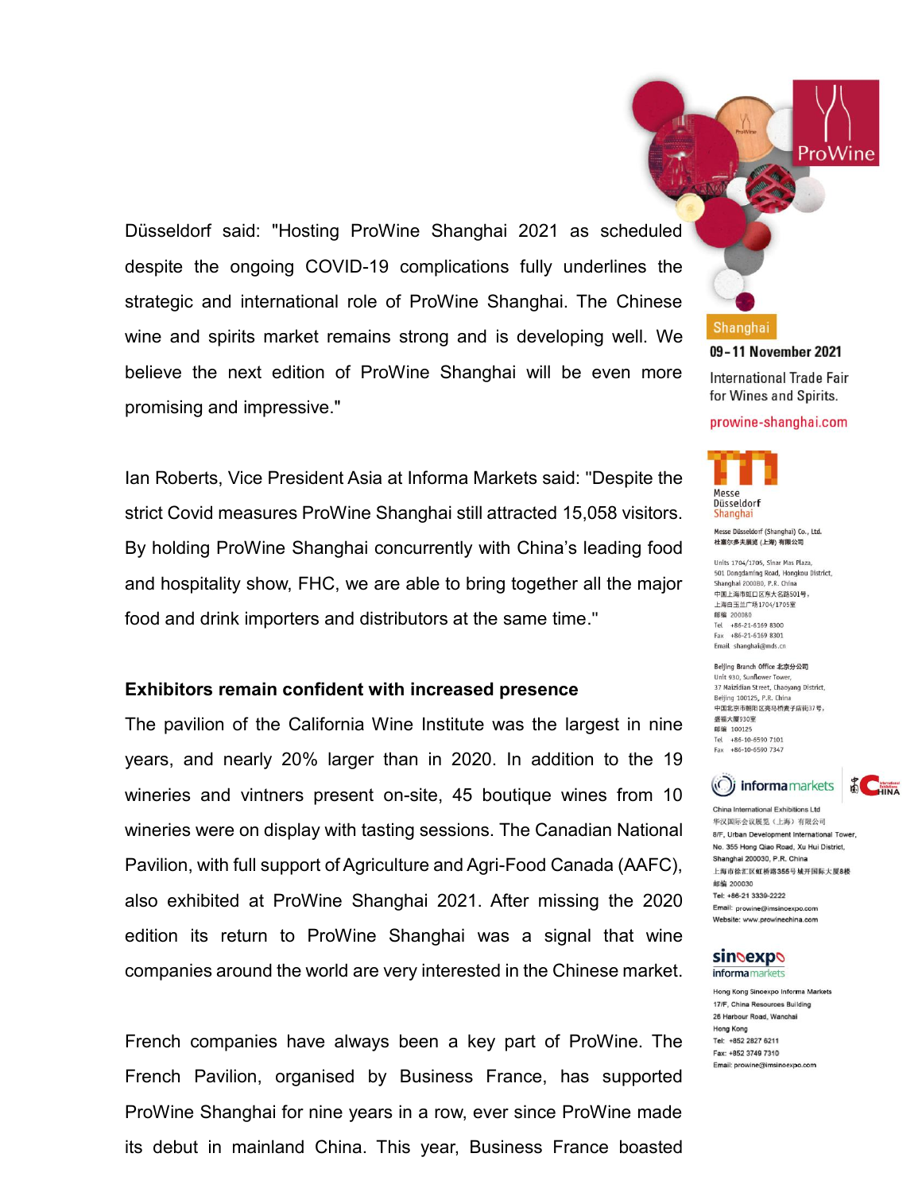Düsseldorf said: "Hosting ProWine Shanghai 2021 as scheduled despite the ongoing COVID-19 complications fully underlines the strategic and international role of ProWine Shanghai. The Chinese wine and spirits market remains strong and is developing well. We believe the next edition of ProWine Shanghai will be even more promising and impressive."

Ian Roberts, Vice President Asia at Informa Markets said: "Despite the strict Covid measures ProWine Shanghai still attracted 15,058 visitors. By holding ProWine Shanghai concurrently with China's leading food and hospitality show, FHC, we are able to bring together all the major food and drink importers and distributors at the same time."

## **Exhibitors remain confident with increased presence**

The pavilion of the California Wine Institute was the largest in nine years, and nearly 20% larger than in 2020. In addition to the 19 wineries and vintners present on-site, 45 boutique wines from 10 wineries were on display with tasting sessions. The Canadian National Pavilion, with full support of Agriculture and Agri-Food Canada (AAFC), also exhibited at ProWine Shanghai 2021. After missing the 2020 edition its return to ProWine Shanghai was a signal that wine companies around the world are very interested in the Chinese market.

French companies have always been a key part of ProWine. The French Pavilion, organised by Business France, has supported ProWine Shanghai for nine years in a row, ever since ProWine made its debut in mainland China. This year, Business France boasted

Shanghai 09-11 November 2021 International Trade Fair

ProWine

for Wines and Spirits.

### prowine-shanghai.com



Messe Düsseldorf (Shanghai) Co., Ltd. 杜塞尔多夫展览 (上海) 有限公司

Units 1704/1705 Sinar Mas Plaza 501 Dongdaming Road, Hongkou District, Shanghai 200080, P.R. China 中国上海市町口区东大名路501号。 上海白玉兰广场1704/1705室 邮编 200080 Tel +86-21-6169 8300  $Fax +86-21-61698301$ Email shanghai@mds.cn

Beijing Branch Office 北京分公司 Unit 930, Sunflower Tower 37 Maizidian Street, Chaoyang District, Beijing 100125, P.R. China 中国北京市朝阳区亮马桥麦子店街37号, 盛福大厦930室 邮编 100125 Tel +86-10-6590 7101 Fax +86-10-6590 7347



ational Exhibitions I td 华汉国际会议展览(上海)有限公司 8/F, Urban Development International Towe No. 355 Hong Qiao Road, Xu Hui District, Shanghai 200030, P.R. China 上海市徐汇区虹桥路355号城开国际大厦8楼 邮编 200030 Tel: +86-21 3339-2222 Email: prowine@imsinoexpo.com Website: www.prowinechina.com

### sindexpo informa markets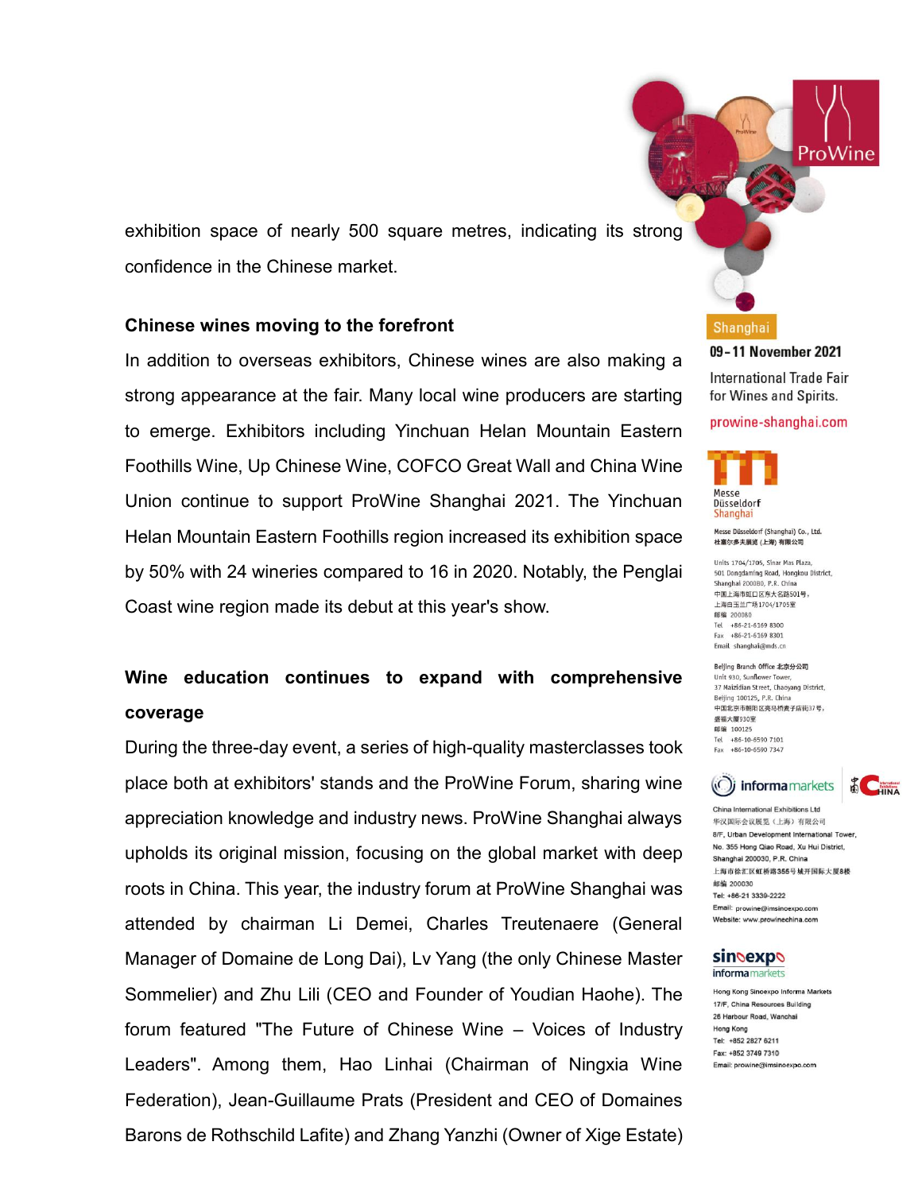exhibition space of nearly 500 square metres, indicating its strong confidence in the Chinese market.

## **Chinese wines moving to the forefront**

In addition to overseas exhibitors, Chinese wines are also making a strong appearance at the fair. Many local wine producers are starting to emerge. Exhibitors including Yinchuan Helan Mountain Eastern Foothills Wine, Up Chinese Wine, COFCO Great Wall and China Wine Union continue to support ProWine Shanghai 2021. The Yinchuan Helan Mountain Eastern Foothills region increased its exhibition space by 50% with 24 wineries compared to 16 in 2020. Notably, the Penglai Coast wine region made its debut at this year's show.

# **Wine education continues to expand with comprehensive coverage**

During the three-day event, a series of high-quality masterclasses took place both at exhibitors' stands and the ProWine Forum, sharing wine appreciation knowledge and industry news. ProWine Shanghai always upholds its original mission, focusing on the global market with deep roots in China. This year, the industry forum at ProWine Shanghai was attended by chairman Li Demei, Charles Treutenaere (General Manager of Domaine de Long Dai), Lv Yang (the only Chinese Master Sommelier) and Zhu Lili (CEO and Founder of Youdian Haohe). The forum featured "The Future of Chinese Wine – Voices of Industry Leaders". Among them, Hao Linhai (Chairman of Ningxia Wine Federation), Jean-Guillaume Prats (President and CEO of Domaines Barons de Rothschild Lafite) and Zhang Yanzhi (Owner of Xige Estate)

Shanghai 09-11 November 2021 International Trade Fair for Wines and Spirits.

ProWine





Messe Düsseldorf (Shanghai) Co., Ltd. 杜塞尔多夫展览 (上海) 有限公司

Units 1704/1705 Sinar Mas Plaza 501 Dongdaming Road, Hongkou District, Shanghai 200080, P.R. China 中国上海市町口区东大名路501号。 上海白玉兰广场1704/1705室 邮编 200080 Tel +86-21-6169 8300  $Fax +86-21-61698301$ Email shanghai@mds.cn

Beijing Branch Office 北京分公司 Unit 930, Sunflower Tower 37 Maizidian Street, Chaoyang District, Beijing 100125, P.R. China 中国北京市朝阳区亮马桥麦子店街37号, 盛福大厦930室 邮编 100125 Tel +86-10-6590 7101 Fax +86-10-6590 7347



China Inte ational Exhibitions I td 华汉国际会议展览(上海)有限公司 8/F, Urban Development International Tower No. 355 Hong Qiao Road, Xu Hui District, Shanghai 200030, P.R. China 上海市徐汇区虹桥路355号城开国际大厦8楼 邮编 200030 Tel: +86-21 3339-2222 Email: prowine@imsinoexpo.com Website: www.prowinechina.com

### sindexpo informa markets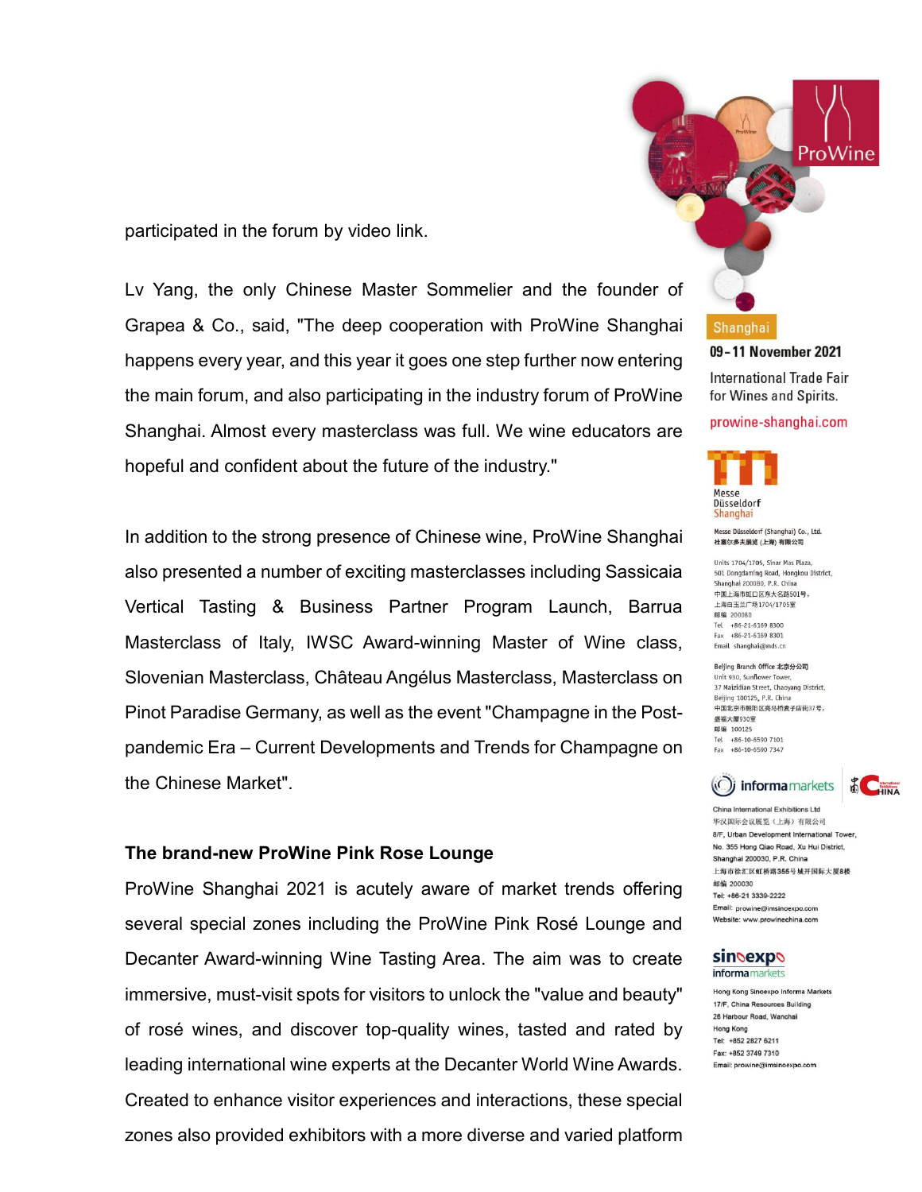participated in the forum by video link.

Lv Yang, the only Chinese Master Sommelier and the founder of Grapea & Co., said, "The deep cooperation with ProWine Shanghai happens every year, and this year it goes one step further now entering the main forum, and also participating in the industry forum of ProWine Shanghai. Almost every masterclass was full. We wine educators are hopeful and confident about the future of the industry."

In addition to the strong presence of Chinese wine, ProWine Shanghai also presented a number of exciting masterclasses including Sassicaia Vertical Tasting & Business Partner Program Launch, Barrua Masterclass of Italy, IWSC Award-winning Master of Wine class, Slovenian Masterclass, Château Angélus Masterclass, Masterclass on Pinot Paradise Germany, as well as the event "Champagne in the Postpandemic Era – Current Developments and Trends for Champagne on the Chinese Market".

## **The brand-new ProWine Pink Rose Lounge**

ProWine Shanghai 2021 is acutely aware of market trends offering several special zones including the ProWine Pink Rosé Lounge and Decanter Award-winning Wine Tasting Area. The aim was to create immersive, must-visit spots for visitors to unlock the "value and beauty" of rosé wines, and discover top-quality wines, tasted and rated by leading international wine experts at the Decanter World Wine Awards. Created to enhance visitor experiences and interactions, these special zones also provided exhibitors with a more diverse and varied platform



International Trade Fair for Wines and Spirits.

### prowine-shanghai.com



Messe Düsseldorf (Shanghai) Co., Ltd. 杜塞尔多夫展览 (上海) 有限公司

Units 1704/1705 Sinar Mas Plaza 501 Dongdaming Road, Hongkou District, Shanghai 200080, P.R. China 中国上海市町口区东大名路501号。 上海白玉兰广场1704/1705室 邮编 200080 Tel +86-21-6169 8300  $Fax +86-21-61698301$ Email shanghai@mds.cn

Beijing Branch Office 北京分公司 Unit 930, Sunflower Tower 37 Maizidian Street, Chaoyang District, Beijing 100125, P.R. China 中国北京市朝阳区亮马桥麦子店街37号, 盛福大厦930室 邮编 100125 Tel +86-10-6590 7101 Fax +86-10-6590 7347



China International Exhibitions I td 华汉国际会议展览(上海)有限公司 8/F, Urban Development International Tower No. 355 Hong Qiao Road, Xu Hui District, Shanghai 200030, P.R. China 上海市徐汇区虹桥路355号城开国际大厦8楼 邮编 200030 Tel: +86-21 3339-2222 Email: prowine@imsinoexpo.com Website: www.prowinechina.com

### sindexpo informa markets